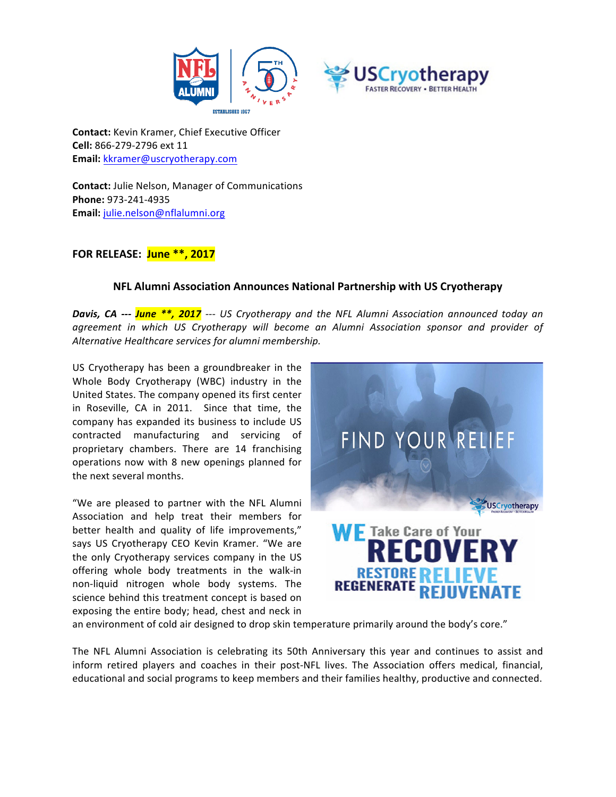

**Contact:** Kevin Kramer, Chief Executive Officer **Cell:** 866-279-2796 ext 11 **Email:** kkramer@uscryotherapy.com

**Contact:** Julie Nelson, Manager of Communications **Phone:** 973-241-4935 **Email:** julie.nelson@nflalumni.org

## **FOR RELEASE: June \*\*, 2017**

## **NFL Alumni Association Announces National Partnership with US Cryotherapy**

**Davis, CA** --- **June \*\*, 2017** --- US Cryotherapy and the NFL Alumni Association announced today an *agreement in which US Cryotherapy will become an Alumni Association sponsor and provider of Alternative Healthcare services for alumni membership.*

US Cryotherapy has been a groundbreaker in the Whole Body Cryotherapy (WBC) industry in the United States. The company opened its first center in Roseville, CA in 2011. Since that time, the company has expanded its business to include US contracted manufacturing and servicing of proprietary chambers. There are 14 franchising operations now with 8 new openings planned for the next several months.

"We are pleased to partner with the NFL Alumni Association and help treat their members for better health and quality of life improvements," says US Cryotherapy CEO Kevin Kramer. "We are the only Cryotherapy services company in the US offering whole body treatments in the walk-in non-liquid nitrogen whole body systems. The science behind this treatment concept is based on exposing the entire body; head, chest and neck in



an environment of cold air designed to drop skin temperature primarily around the body's core."

The NFL Alumni Association is celebrating its 50th Anniversary this year and continues to assist and inform retired players and coaches in their post-NFL lives. The Association offers medical, financial, educational and social programs to keep members and their families healthy, productive and connected.